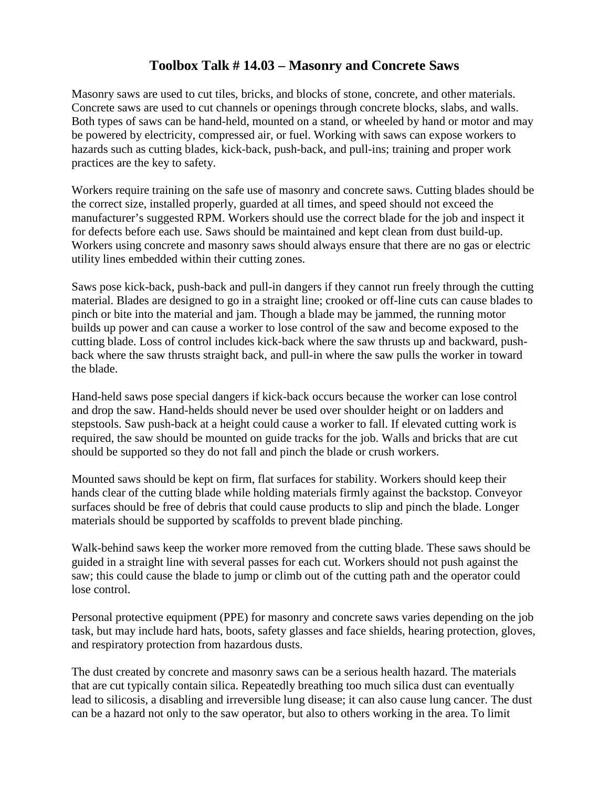## **Toolbox Talk # 14.03 – Masonry and Concrete Saws**

Masonry saws are used to cut tiles, bricks, and blocks of stone, concrete, and other materials. Concrete saws are used to cut channels or openings through concrete blocks, slabs, and walls. Both types of saws can be hand-held, mounted on a stand, or wheeled by hand or motor and may be powered by electricity, compressed air, or fuel. Working with saws can expose workers to hazards such as cutting blades, kick-back, push-back, and pull-ins; training and proper work practices are the key to safety.

Workers require training on the safe use of masonry and concrete saws. Cutting blades should be the correct size, installed properly, guarded at all times, and speed should not exceed the manufacturer's suggested RPM. Workers should use the correct blade for the job and inspect it for defects before each use. Saws should be maintained and kept clean from dust build-up. Workers using concrete and masonry saws should always ensure that there are no gas or electric utility lines embedded within their cutting zones.

Saws pose kick-back, push-back and pull-in dangers if they cannot run freely through the cutting material. Blades are designed to go in a straight line; crooked or off-line cuts can cause blades to pinch or bite into the material and jam. Though a blade may be jammed, the running motor builds up power and can cause a worker to lose control of the saw and become exposed to the cutting blade. Loss of control includes kick-back where the saw thrusts up and backward, pushback where the saw thrusts straight back, and pull-in where the saw pulls the worker in toward the blade.

Hand-held saws pose special dangers if kick-back occurs because the worker can lose control and drop the saw. Hand-helds should never be used over shoulder height or on ladders and stepstools. Saw push-back at a height could cause a worker to fall. If elevated cutting work is required, the saw should be mounted on guide tracks for the job. Walls and bricks that are cut should be supported so they do not fall and pinch the blade or crush workers.

Mounted saws should be kept on firm, flat surfaces for stability. Workers should keep their hands clear of the cutting blade while holding materials firmly against the backstop. Conveyor surfaces should be free of debris that could cause products to slip and pinch the blade. Longer materials should be supported by scaffolds to prevent blade pinching.

Walk-behind saws keep the worker more removed from the cutting blade. These saws should be guided in a straight line with several passes for each cut. Workers should not push against the saw; this could cause the blade to jump or climb out of the cutting path and the operator could lose control.

Personal protective equipment (PPE) for masonry and concrete saws varies depending on the job task, but may include hard hats, boots, safety glasses and face shields, hearing protection, gloves, and respiratory protection from hazardous dusts.

The dust created by concrete and masonry saws can be a serious health hazard. The materials that are cut typically contain silica. Repeatedly breathing too much silica dust can eventually lead to silicosis, a disabling and irreversible lung disease; it can also cause lung cancer. The dust can be a hazard not only to the saw operator, but also to others working in the area. To limit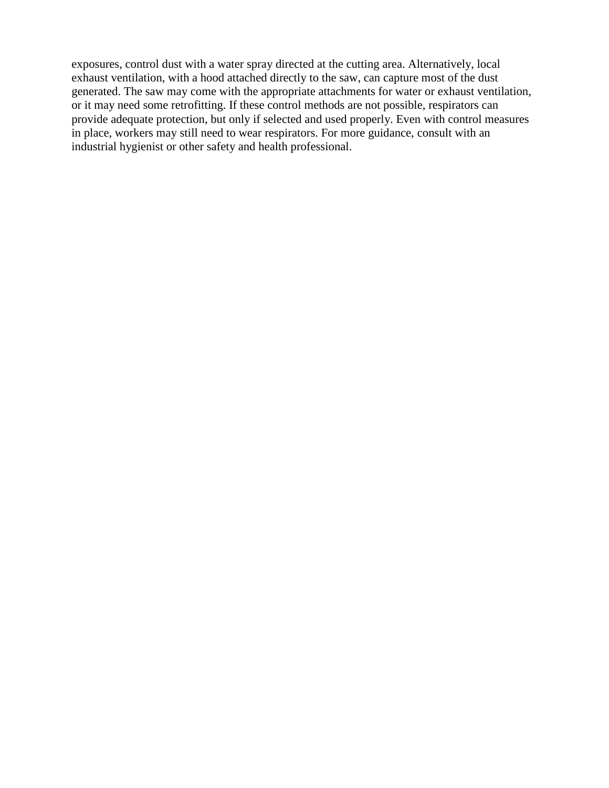exposures, control dust with a water spray directed at the cutting area. Alternatively, local exhaust ventilation, with a hood attached directly to the saw, can capture most of the dust generated. The saw may come with the appropriate attachments for water or exhaust ventilation, or it may need some retrofitting. If these control methods are not possible, respirators can provide adequate protection, but only if selected and used properly. Even with control measures in place, workers may still need to wear respirators. For more guidance, consult with an industrial hygienist or other safety and health professional.